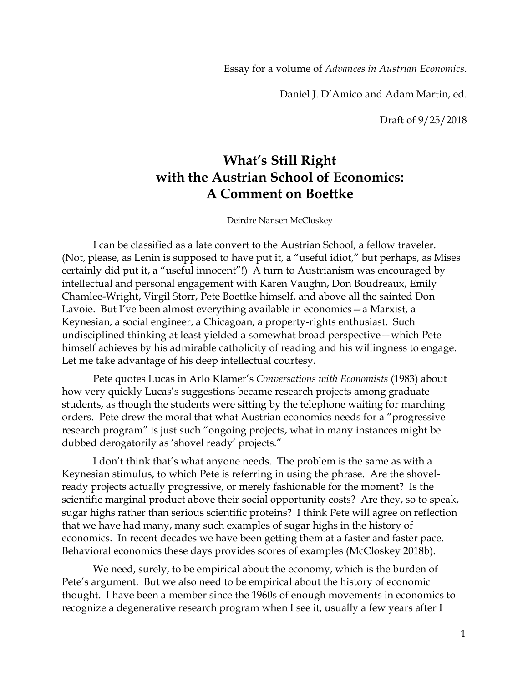Essay for a volume of *Advances in Austrian Economics*.

Daniel J. D'Amico and Adam Martin, ed.

Draft of 9/25/2018

## **What's Still Right with the Austrian School of Economics: A Comment on Boettke**

Deirdre Nansen McCloskey

I can be classified as a late convert to the Austrian School, a fellow traveler. (Not, please, as Lenin is supposed to have put it, a "useful idiot," but perhaps, as Mises certainly did put it, a "useful innocent"!) A turn to Austrianism was encouraged by intellectual and personal engagement with Karen Vaughn, Don Boudreaux, Emily Chamlee-Wright, Virgil Storr, Pete Boettke himself, and above all the sainted Don Lavoie. But I've been almost everything available in economics—a Marxist, a Keynesian, a social engineer, a Chicagoan, a property-rights enthusiast. Such undisciplined thinking at least yielded a somewhat broad perspective—which Pete himself achieves by his admirable catholicity of reading and his willingness to engage. Let me take advantage of his deep intellectual courtesy.

Pete quotes Lucas in Arlo Klamer's *Conversations with Economists* (1983) about how very quickly Lucas's suggestions became research projects among graduate students, as though the students were sitting by the telephone waiting for marching orders. Pete drew the moral that what Austrian economics needs for a "progressive research program" is just such "ongoing projects, what in many instances might be dubbed derogatorily as 'shovel ready' projects."

I don't think that's what anyone needs. The problem is the same as with a Keynesian stimulus, to which Pete is referring in using the phrase. Are the shovelready projects actually progressive, or merely fashionable for the moment? Is the scientific marginal product above their social opportunity costs? Are they, so to speak, sugar highs rather than serious scientific proteins? I think Pete will agree on reflection that we have had many, many such examples of sugar highs in the history of economics. In recent decades we have been getting them at a faster and faster pace. Behavioral economics these days provides scores of examples (McCloskey 2018b).

We need, surely, to be empirical about the economy, which is the burden of Pete's argument. But we also need to be empirical about the history of economic thought. I have been a member since the 1960s of enough movements in economics to recognize a degenerative research program when I see it, usually a few years after I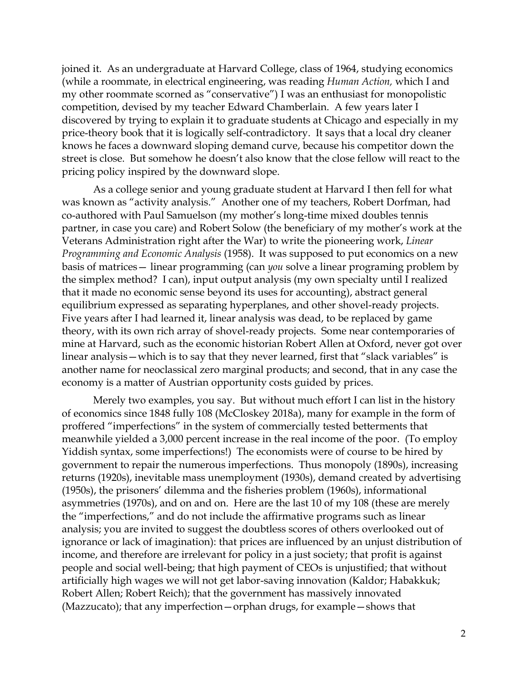joined it. As an undergraduate at Harvard College, class of 1964, studying economics (while a roommate, in electrical engineering, was reading *Human Action,* which I and my other roommate scorned as "conservative") I was an enthusiast for monopolistic competition, devised by my teacher Edward Chamberlain. A few years later I discovered by trying to explain it to graduate students at Chicago and especially in my price-theory book that it is logically self-contradictory. It says that a local dry cleaner knows he faces a downward sloping demand curve, because his competitor down the street is close. But somehow he doesn't also know that the close fellow will react to the pricing policy inspired by the downward slope.

As a college senior and young graduate student at Harvard I then fell for what was known as "activity analysis." Another one of my teachers, Robert Dorfman, had co-authored with Paul Samuelson (my mother's long-time mixed doubles tennis partner, in case you care) and Robert Solow (the beneficiary of my mother's work at the Veterans Administration right after the War) to write the pioneering work, *Linear Programming and Economic Analysis* (1958). It was supposed to put economics on a new basis of matrices— linear programming (can *you* solve a linear programing problem by the simplex method? I can), input output analysis (my own specialty until I realized that it made no economic sense beyond its uses for accounting), abstract general equilibrium expressed as separating hyperplanes, and other shovel-ready projects. Five years after I had learned it, linear analysis was dead, to be replaced by game theory, with its own rich array of shovel-ready projects. Some near contemporaries of mine at Harvard, such as the economic historian Robert Allen at Oxford, never got over linear analysis—which is to say that they never learned, first that "slack variables" is another name for neoclassical zero marginal products; and second, that in any case the economy is a matter of Austrian opportunity costs guided by prices.

Merely two examples, you say. But without much effort I can list in the history of economics since 1848 fully 108 (McCloskey 2018a), many for example in the form of proffered "imperfections" in the system of commercially tested betterments that meanwhile yielded a 3,000 percent increase in the real income of the poor. (To employ Yiddish syntax, some imperfections!) The economists were of course to be hired by government to repair the numerous imperfections. Thus monopoly (1890s), increasing returns (1920s), inevitable mass unemployment (1930s), demand created by advertising (1950s), the prisoners' dilemma and the fisheries problem (1960s), informational asymmetries (1970s), and on and on. Here are the last 10 of my 108 (these are merely the "imperfections," and do not include the affirmative programs such as linear analysis; you are invited to suggest the doubtless scores of others overlooked out of ignorance or lack of imagination): that prices are influenced by an unjust distribution of income, and therefore are irrelevant for policy in a just society; that profit is against people and social well-being; that high payment of CEOs is unjustified; that without artificially high wages we will not get labor-saving innovation (Kaldor; Habakkuk; Robert Allen; Robert Reich); that the government has massively innovated (Mazzucato); that any imperfection—orphan drugs, for example—shows that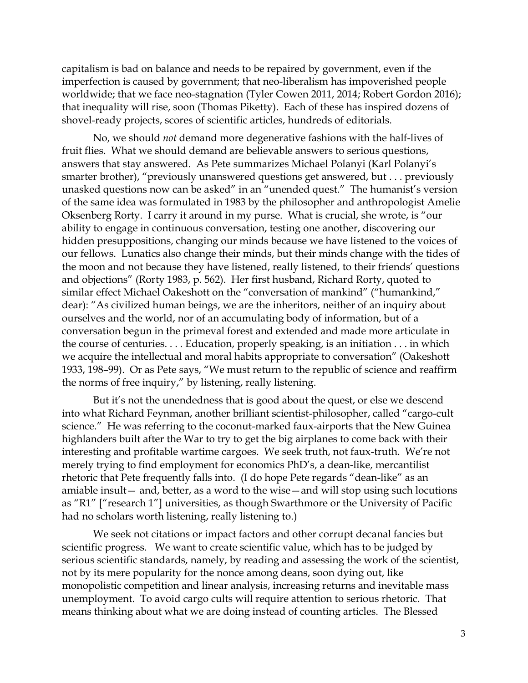capitalism is bad on balance and needs to be repaired by government, even if the imperfection is caused by government; that neo-liberalism has impoverished people worldwide; that we face neo-stagnation (Tyler Cowen 2011, 2014; Robert Gordon 2016); that inequality will rise, soon (Thomas Piketty). Each of these has inspired dozens of shovel-ready projects, scores of scientific articles, hundreds of editorials.

No, we should *not* demand more degenerative fashions with the half-lives of fruit flies. What we should demand are believable answers to serious questions, answers that stay answered. As Pete summarizes Michael Polanyi (Karl Polanyi's smarter brother), "previously unanswered questions get answered, but . . . previously unasked questions now can be asked" in an "unended quest." The humanist's version of the same idea was formulated in 1983 by the philosopher and anthropologist Amelie Oksenberg Rorty. I carry it around in my purse. What is crucial, she wrote, is "our ability to engage in continuous conversation, testing one another, discovering our hidden presuppositions, changing our minds because we have listened to the voices of our fellows. Lunatics also change their minds, but their minds change with the tides of the moon and not because they have listened, really listened, to their friends' questions and objections" (Rorty 1983, p. 562). Her first husband, Richard Rorty, quoted to similar effect Michael Oakeshott on the "conversation of mankind" ("humankind," dear): "As civilized human beings, we are the inheritors, neither of an inquiry about ourselves and the world, nor of an accumulating body of information, but of a conversation begun in the primeval forest and extended and made more articulate in the course of centuries. . . . Education, properly speaking, is an initiation . . . in which we acquire the intellectual and moral habits appropriate to conversation" (Oakeshott 1933, 198–99). Or as Pete says, "We must return to the republic of science and reaffirm the norms of free inquiry," by listening, really listening.

But it's not the unendedness that is good about the quest, or else we descend into what Richard Feynman, another brilliant scientist-philosopher, called "cargo-cult science." He was referring to the coconut-marked faux-airports that the New Guinea highlanders built after the War to try to get the big airplanes to come back with their interesting and profitable wartime cargoes. We seek truth, not faux-truth. We're not merely trying to find employment for economics PhD's, a dean-like, mercantilist rhetoric that Pete frequently falls into. (I do hope Pete regards "dean-like" as an amiable insult— and, better, as a word to the wise—and will stop using such locutions as "R1" ["research 1"] universities, as though Swarthmore or the University of Pacific had no scholars worth listening, really listening to.)

We seek not citations or impact factors and other corrupt decanal fancies but scientific progress. We want to create scientific value, which has to be judged by serious scientific standards, namely, by reading and assessing the work of the scientist, not by its mere popularity for the nonce among deans, soon dying out, like monopolistic competition and linear analysis, increasing returns and inevitable mass unemployment. To avoid cargo cults will require attention to serious rhetoric. That means thinking about what we are doing instead of counting articles. The Blessed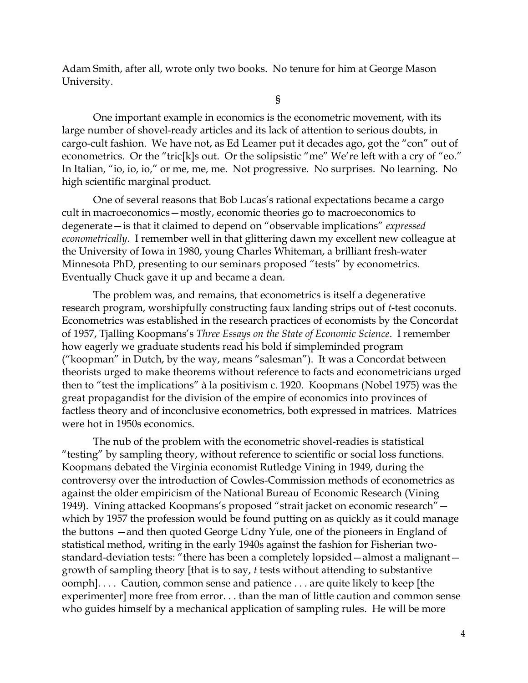Adam Smith, after all, wrote only two books. No tenure for him at George Mason University.

§

One important example in economics is the econometric movement, with its large number of shovel-ready articles and its lack of attention to serious doubts, in cargo-cult fashion. We have not, as Ed Leamer put it decades ago, got the "con" out of econometrics. Or the "tric[k]s out. Or the solipsistic "me" We're left with a cry of "eo." In Italian, "io, io, io," or me, me, me. Not progressive. No surprises. No learning. No high scientific marginal product.

One of several reasons that Bob Lucas's rational expectations became a cargo cult in macroeconomics—mostly, economic theories go to macroeconomics to degenerate—is that it claimed to depend on "observable implications" *expressed econometrically.* I remember well in that glittering dawn my excellent new colleague at the University of Iowa in 1980, young Charles Whiteman, a brilliant fresh-water Minnesota PhD, presenting to our seminars proposed "tests" by econometrics. Eventually Chuck gave it up and became a dean.

The problem was, and remains, that econometrics is itself a degenerative research program, worshipfully constructing faux landing strips out of *t-*test coconuts. Econometrics was established in the research practices of economists by the Concordat of 1957, Tjalling Koopmans's *Three Essays on the State of Economic Science*. I remember how eagerly we graduate students read his bold if simpleminded program ("koopman" in Dutch, by the way, means "salesman"). It was a Concordat between theorists urged to make theorems without reference to facts and econometricians urged then to "test the implications" à la positivism c. 1920. Koopmans (Nobel 1975) was the great propagandist for the division of the empire of economics into provinces of factless theory and of inconclusive econometrics, both expressed in matrices. Matrices were hot in 1950s economics.

The nub of the problem with the econometric shovel-readies is statistical "testing" by sampling theory, without reference to scientific or social loss functions. Koopmans debated the Virginia economist Rutledge Vining in 1949, during the controversy over the introduction of Cowles-Commission methods of econometrics as against the older empiricism of the National Bureau of Economic Research (Vining 1949). Vining attacked Koopmans's proposed "strait jacket on economic research" which by 1957 the profession would be found putting on as quickly as it could manage the buttons —and then quoted George Udny Yule, one of the pioneers in England of statistical method, writing in the early 1940s against the fashion for Fisherian twostandard-deviation tests: "there has been a completely lopsided—almost a malignant growth of sampling theory [that is to say, *t* tests without attending to substantive oomph]. . . . Caution, common sense and patience . . . are quite likely to keep [the experimenter] more free from error. . . than the man of little caution and common sense who guides himself by a mechanical application of sampling rules. He will be more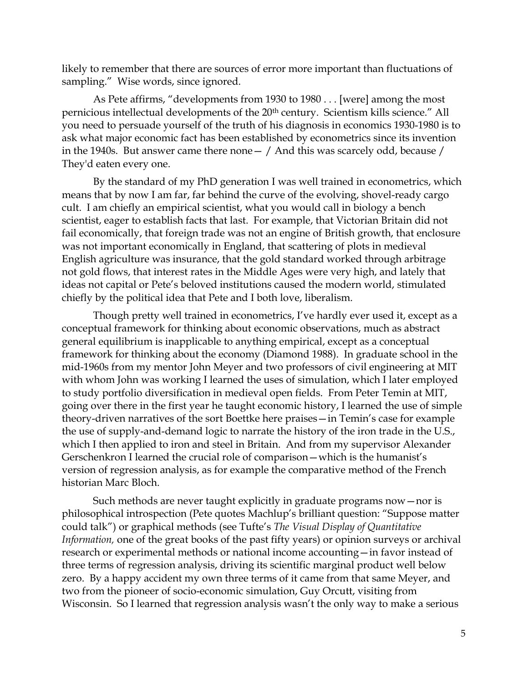likely to remember that there are sources of error more important than fluctuations of sampling." Wise words, since ignored.

As Pete affirms, "developments from 1930 to 1980 . . . [were] among the most pernicious intellectual developments of the 20<sup>th</sup> century. Scientism kills science." All you need to persuade yourself of the truth of his diagnosis in economics 1930-1980 is to ask what major economic fact has been established by econometrics since its invention in the 1940s. But answer came there none  $-$  / And this was scarcely odd, because / They'd eaten every one.

By the standard of my PhD generation I was well trained in econometrics, which means that by now I am far, far behind the curve of the evolving, shovel-ready cargo cult. I am chiefly an empirical scientist, what you would call in biology a bench scientist, eager to establish facts that last. For example, that Victorian Britain did not fail economically, that foreign trade was not an engine of British growth, that enclosure was not important economically in England, that scattering of plots in medieval English agriculture was insurance, that the gold standard worked through arbitrage not gold flows, that interest rates in the Middle Ages were very high, and lately that ideas not capital or Pete's beloved institutions caused the modern world, stimulated chiefly by the political idea that Pete and I both love, liberalism.

Though pretty well trained in econometrics, I've hardly ever used it, except as a conceptual framework for thinking about economic observations, much as abstract general equilibrium is inapplicable to anything empirical, except as a conceptual framework for thinking about the economy (Diamond 1988). In graduate school in the mid-1960s from my mentor John Meyer and two professors of civil engineering at MIT with whom John was working I learned the uses of simulation, which I later employed to study portfolio diversification in medieval open fields. From Peter Temin at MIT, going over there in the first year he taught economic history, I learned the use of simple theory-driven narratives of the sort Boettke here praises—in Temin's case for example the use of supply-and-demand logic to narrate the history of the iron trade in the U.S., which I then applied to iron and steel in Britain. And from my supervisor Alexander Gerschenkron I learned the crucial role of comparison—which is the humanist's version of regression analysis, as for example the comparative method of the French historian Marc Bloch.

Such methods are never taught explicitly in graduate programs now—nor is philosophical introspection (Pete quotes Machlup's brilliant question: "Suppose matter could talk") or graphical methods (see Tufte's *The Visual Display of Quantitative Information,* one of the great books of the past fifty years) or opinion surveys or archival research or experimental methods or national income accounting—in favor instead of three terms of regression analysis, driving its scientific marginal product well below zero. By a happy accident my own three terms of it came from that same Meyer, and two from the pioneer of socio-economic simulation, Guy Orcutt, visiting from Wisconsin. So I learned that regression analysis wasn't the only way to make a serious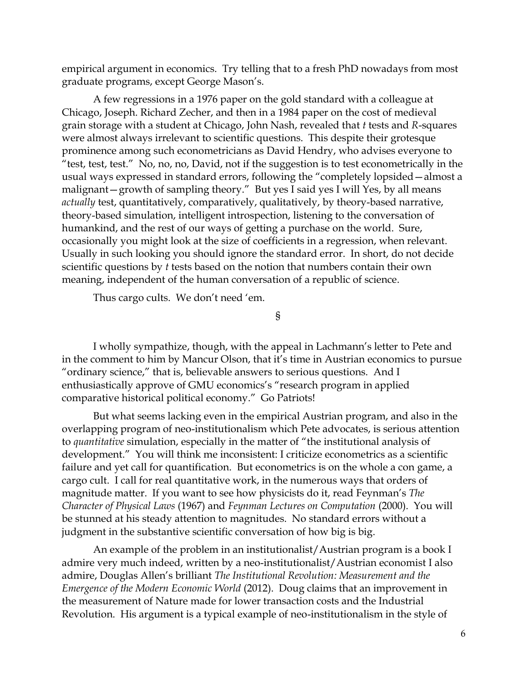empirical argument in economics. Try telling that to a fresh PhD nowadays from most graduate programs, except George Mason's.

A few regressions in a 1976 paper on the gold standard with a colleague at Chicago, Joseph. Richard Zecher, and then in a 1984 paper on the cost of medieval grain storage with a student at Chicago, John Nash, revealed that *t* tests and *R*-squares were almost always irrelevant to scientific questions. This despite their grotesque prominence among such econometricians as David Hendry, who advises everyone to "test, test, test." No, no, no, David, not if the suggestion is to test econometrically in the usual ways expressed in standard errors, following the "completely lopsided—almost a malignant—growth of sampling theory." But yes I said yes I will Yes, by all means *actually* test, quantitatively, comparatively, qualitatively, by theory-based narrative, theory-based simulation, intelligent introspection, listening to the conversation of humankind, and the rest of our ways of getting a purchase on the world. Sure, occasionally you might look at the size of coefficients in a regression, when relevant. Usually in such looking you should ignore the standard error. In short, do not decide scientific questions by *t* tests based on the notion that numbers contain their own meaning, independent of the human conversation of a republic of science.

Thus cargo cults. We don't need 'em.

§

I wholly sympathize, though, with the appeal in Lachmann's letter to Pete and in the comment to him by Mancur Olson, that it's time in Austrian economics to pursue "ordinary science," that is, believable answers to serious questions. And I enthusiastically approve of GMU economics's "research program in applied comparative historical political economy." Go Patriots!

But what seems lacking even in the empirical Austrian program, and also in the overlapping program of neo-institutionalism which Pete advocates, is serious attention to *quantitative* simulation, especially in the matter of "the institutional analysis of development." You will think me inconsistent: I criticize econometrics as a scientific failure and yet call for quantification. But econometrics is on the whole a con game, a cargo cult. I call for real quantitative work, in the numerous ways that orders of magnitude matter. If you want to see how physicists do it, read Feynman's *The Character of Physical Laws* (1967) and *Feynman Lectures on Computation* (2000). You will be stunned at his steady attention to magnitudes. No standard errors without a judgment in the substantive scientific conversation of how big is big.

An example of the problem in an institutionalist/Austrian program is a book I admire very much indeed, written by a neo-institutionalist/Austrian economist I also admire, Douglas Allen's brilliant *The Institutional Revolution: Measurement and the Emergence of the Modern Economic World* (2012). Doug claims that an improvement in the measurement of Nature made for lower transaction costs and the Industrial Revolution. His argument is a typical example of neo-institutionalism in the style of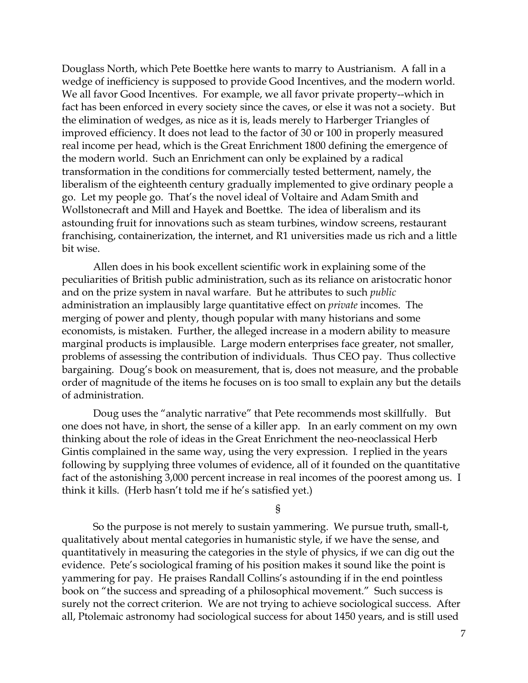Douglass North, which Pete Boettke here wants to marry to Austrianism. A fall in a wedge of inefficiency is supposed to provide Good Incentives, and the modern world. We all favor Good Incentives. For example, we all favor private property--which in fact has been enforced in every society since the caves, or else it was not a society. But the elimination of wedges, as nice as it is, leads merely to Harberger Triangles of improved efficiency. It does not lead to the factor of 30 or 100 in properly measured real income per head, which is the Great Enrichment 1800 defining the emergence of the modern world. Such an Enrichment can only be explained by a radical transformation in the conditions for commercially tested betterment, namely, the liberalism of the eighteenth century gradually implemented to give ordinary people a go. Let my people go. That's the novel ideal of Voltaire and Adam Smith and Wollstonecraft and Mill and Hayek and Boettke. The idea of liberalism and its astounding fruit for innovations such as steam turbines, window screens, restaurant franchising, containerization, the internet, and R1 universities made us rich and a little bit wise.

Allen does in his book excellent scientific work in explaining some of the peculiarities of British public administration, such as its reliance on aristocratic honor and on the prize system in naval warfare. But he attributes to such *public*  administration an implausibly large quantitative effect on *private* incomes. The merging of power and plenty, though popular with many historians and some economists, is mistaken. Further, the alleged increase in a modern ability to measure marginal products is implausible. Large modern enterprises face greater, not smaller, problems of assessing the contribution of individuals. Thus CEO pay. Thus collective bargaining. Doug's book on measurement, that is, does not measure, and the probable order of magnitude of the items he focuses on is too small to explain any but the details of administration.

Doug uses the "analytic narrative" that Pete recommends most skillfully. But one does not have, in short, the sense of a killer app. In an early comment on my own thinking about the role of ideas in the Great Enrichment the neo-neoclassical Herb Gintis complained in the same way, using the very expression. I replied in the years following by supplying three volumes of evidence, all of it founded on the quantitative fact of the astonishing 3,000 percent increase in real incomes of the poorest among us. I think it kills. (Herb hasn't told me if he's satisfied yet.)

§

So the purpose is not merely to sustain yammering. We pursue truth, small-t, qualitatively about mental categories in humanistic style, if we have the sense, and quantitatively in measuring the categories in the style of physics, if we can dig out the evidence. Pete's sociological framing of his position makes it sound like the point is yammering for pay. He praises Randall Collins's astounding if in the end pointless book on "the success and spreading of a philosophical movement." Such success is surely not the correct criterion. We are not trying to achieve sociological success. After all, Ptolemaic astronomy had sociological success for about 1450 years, and is still used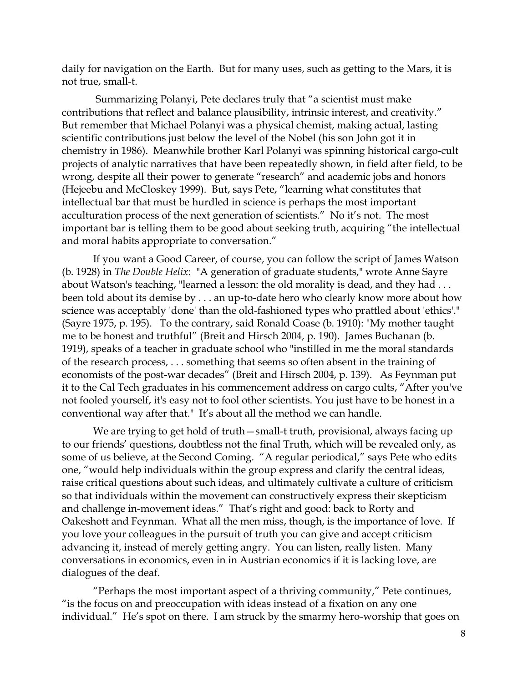daily for navigation on the Earth. But for many uses, such as getting to the Mars, it is not true, small-t.

Summarizing Polanyi, Pete declares truly that "a scientist must make contributions that reflect and balance plausibility, intrinsic interest, and creativity." But remember that Michael Polanyi was a physical chemist, making actual, lasting scientific contributions just below the level of the Nobel (his son John got it in chemistry in 1986). Meanwhile brother Karl Polanyi was spinning historical cargo-cult projects of analytic narratives that have been repeatedly shown, in field after field, to be wrong, despite all their power to generate "research" and academic jobs and honors (Hejeebu and McCloskey 1999). But, says Pete, "learning what constitutes that intellectual bar that must be hurdled in science is perhaps the most important acculturation process of the next generation of scientists." No it's not. The most important bar is telling them to be good about seeking truth, acquiring "the intellectual and moral habits appropriate to conversation."

If you want a Good Career, of course, you can follow the script of James Watson (b. 1928) in *The Double Helix*: "A generation of graduate students," wrote Anne Sayre about Watson's teaching, "learned a lesson: the old morality is dead, and they had ... been told about its demise by . . . an up*-*to-date hero who clearly know more about how science was acceptably 'done' than the old-fashioned types who prattled about 'ethics'." (Sayre 1975, p. 195). To the contrary, said Ronald Coase (b. 1910): "My mother taught me to be honest and truthful" (Breit and Hirsch 2004, p. 190). James Buchanan (b. 1919), speaks of a teacher in graduate school who "instilled in me the moral standards of the research process, . . . something that seems so often absent in the training of economists of the post-war decades" (Breit and Hirsch 2004, p. 139). As Feynman put it to the Cal Tech graduates in his commencement address on cargo cults, "After you've not fooled yourself, it's easy not to fool other scientists. You just have to be honest in a conventional way after that." It's about all the method we can handle.

We are trying to get hold of truth—small-t truth, provisional, always facing up to our friends' questions, doubtless not the final Truth, which will be revealed only, as some of us believe, at the Second Coming. "A regular periodical," says Pete who edits one, "would help individuals within the group express and clarify the central ideas, raise critical questions about such ideas, and ultimately cultivate a culture of criticism so that individuals within the movement can constructively express their skepticism and challenge in-movement ideas." That's right and good: back to Rorty and Oakeshott and Feynman. What all the men miss, though, is the importance of love. If you love your colleagues in the pursuit of truth you can give and accept criticism advancing it, instead of merely getting angry. You can listen, really listen. Many conversations in economics, even in in Austrian economics if it is lacking love, are dialogues of the deaf.

"Perhaps the most important aspect of a thriving community," Pete continues, "is the focus on and preoccupation with ideas instead of a fixation on any one individual." He's spot on there. I am struck by the smarmy hero-worship that goes on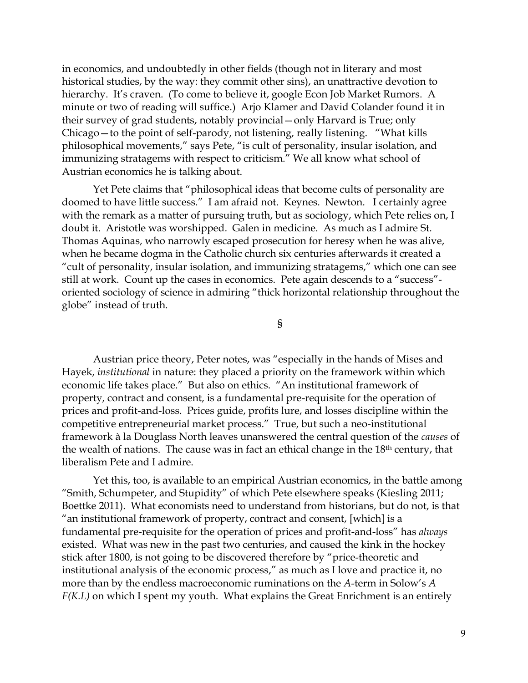in economics, and undoubtedly in other fields (though not in literary and most historical studies, by the way: they commit other sins), an unattractive devotion to hierarchy. It's craven. (To come to believe it, google Econ Job Market Rumors. A minute or two of reading will suffice.) Arjo Klamer and David Colander found it in their survey of grad students, notably provincial—only Harvard is True; only Chicago—to the point of self-parody, not listening, really listening. "What kills philosophical movements," says Pete, "is cult of personality, insular isolation, and immunizing stratagems with respect to criticism." We all know what school of Austrian economics he is talking about.

Yet Pete claims that "philosophical ideas that become cults of personality are doomed to have little success." I am afraid not. Keynes. Newton. I certainly agree with the remark as a matter of pursuing truth, but as sociology, which Pete relies on, I doubt it. Aristotle was worshipped. Galen in medicine. As much as I admire St. Thomas Aquinas, who narrowly escaped prosecution for heresy when he was alive, when he became dogma in the Catholic church six centuries afterwards it created a "cult of personality, insular isolation, and immunizing stratagems," which one can see still at work. Count up the cases in economics. Pete again descends to a "success" oriented sociology of science in admiring "thick horizontal relationship throughout the globe" instead of truth.

§

Austrian price theory, Peter notes, was "especially in the hands of Mises and Hayek, *institutional* in nature: they placed a priority on the framework within which economic life takes place." But also on ethics. "An institutional framework of property, contract and consent, is a fundamental pre-requisite for the operation of prices and profit-and-loss. Prices guide, profits lure, and losses discipline within the competitive entrepreneurial market process." True, but such a neo-institutional framework à la Douglass North leaves unanswered the central question of the *causes* of the wealth of nations. The cause was in fact an ethical change in the 18<sup>th</sup> century, that liberalism Pete and I admire.

Yet this, too, is available to an empirical Austrian economics, in the battle among "Smith, Schumpeter, and Stupidity" of which Pete elsewhere speaks (Kiesling 2011; Boettke 2011). What economists need to understand from historians, but do not, is that "an institutional framework of property, contract and consent, [which] is a fundamental pre-requisite for the operation of prices and profit-and-loss" has *always* existed. What was new in the past two centuries, and caused the kink in the hockey stick after 1800, is not going to be discovered therefore by "price-theoretic and institutional analysis of the economic process," as much as I love and practice it, no more than by the endless macroeconomic ruminations on the *A*-term in Solow's *A F(K.L)* on which I spent my youth. What explains the Great Enrichment is an entirely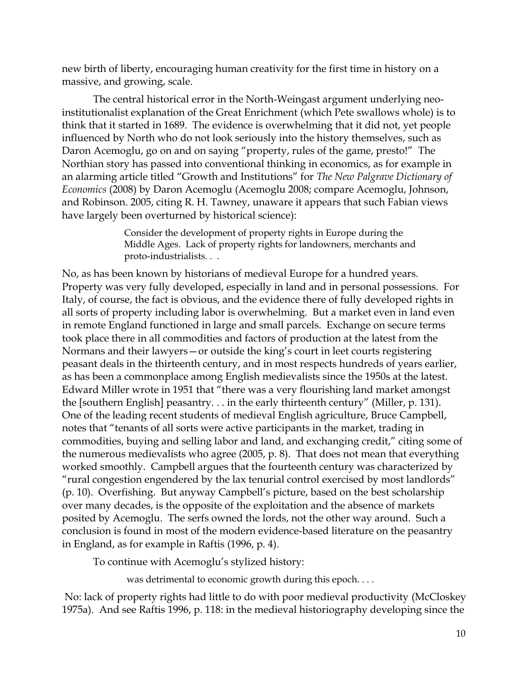new birth of liberty, encouraging human creativity for the first time in history on a massive, and growing, scale.

The central historical error in the North-Weingast argument underlying neoinstitutionalist explanation of the Great Enrichment (which Pete swallows whole) is to think that it started in 1689. The evidence is overwhelming that it did not, yet people influenced by North who do not look seriously into the history themselves, such as Daron Acemoglu, go on and on saying "property, rules of the game, presto!" The Northian story has passed into conventional thinking in economics, as for example in an alarming article titled "Growth and Institutions" for *The New Palgrave Dictionary of Economics* (2008) by Daron Acemoglu (Acemoglu 2008; compare Acemoglu, Johnson, and Robinson. 2005, citing R. H. Tawney, unaware it appears that such Fabian views have largely been overturned by historical science):

> Consider the development of property rights in Europe during the Middle Ages. Lack of property rights for landowners, merchants and proto-industrialists. . .

No, as has been known by historians of medieval Europe for a hundred years. Property was very fully developed, especially in land and in personal possessions. For Italy, of course, the fact is obvious, and the evidence there of fully developed rights in all sorts of property including labor is overwhelming. But a market even in land even in remote England functioned in large and small parcels. Exchange on secure terms took place there in all commodities and factors of production at the latest from the Normans and their lawyers—or outside the king's court in leet courts registering peasant deals in the thirteenth century, and in most respects hundreds of years earlier, as has been a commonplace among English medievalists since the 1950s at the latest. Edward Miller wrote in 1951 that "there was a very flourishing land market amongst the [southern English] peasantry. . . in the early thirteenth century" (Miller, p. 131). One of the leading recent students of medieval English agriculture, Bruce Campbell, notes that "tenants of all sorts were active participants in the market, trading in commodities, buying and selling labor and land, and exchanging credit," citing some of the numerous medievalists who agree (2005, p. 8). That does not mean that everything worked smoothly. Campbell argues that the fourteenth century was characterized by "rural congestion engendered by the lax tenurial control exercised by most landlords" (p. 10). Overfishing. But anyway Campbell's picture, based on the best scholarship over many decades, is the opposite of the exploitation and the absence of markets posited by Acemoglu. The serfs owned the lords, not the other way around. Such a conclusion is found in most of the modern evidence-based literature on the peasantry in England, as for example in Raftis (1996, p. 4).

To continue with Acemoglu's stylized history:

was detrimental to economic growth during this epoch. . . .

No: lack of property rights had little to do with poor medieval productivity (McCloskey 1975a). And see Raftis 1996, p. 118: in the medieval historiography developing since the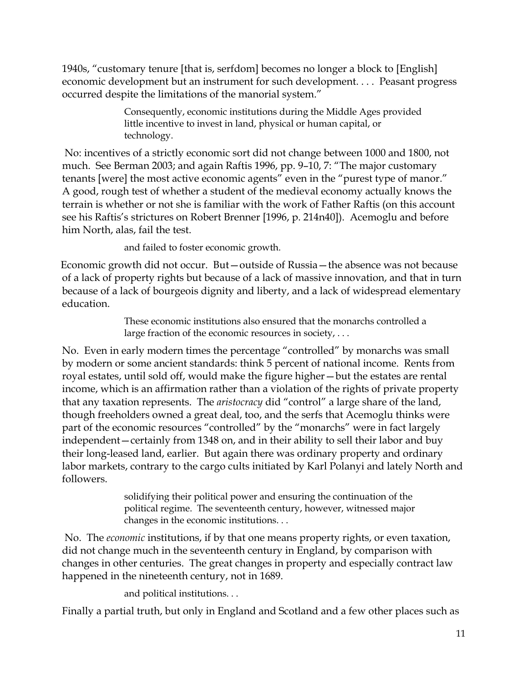1940s, "customary tenure [that is, serfdom] becomes no longer a block to [English] economic development but an instrument for such development. . . . Peasant progress occurred despite the limitations of the manorial system."

> Consequently, economic institutions during the Middle Ages provided little incentive to invest in land, physical or human capital, or technology.

No: incentives of a strictly economic sort did not change between 1000 and 1800, not much. See Berman 2003; and again Raftis 1996, pp. 9–10, 7: "The major customary tenants [were] the most active economic agents" even in the "purest type of manor." A good, rough test of whether a student of the medieval economy actually knows the terrain is whether or not she is familiar with the work of Father Raftis (on this account see his Raftis's strictures on Robert Brenner [1996, p. 214n40]). Acemoglu and before him North, alas, fail the test.

and failed to foster economic growth.

Economic growth did not occur. But—outside of Russia—the absence was not because of a lack of property rights but because of a lack of massive innovation, and that in turn because of a lack of bourgeois dignity and liberty, and a lack of widespread elementary education.

> These economic institutions also ensured that the monarchs controlled a large fraction of the economic resources in society, . . .

No. Even in early modern times the percentage "controlled" by monarchs was small by modern or some ancient standards: think 5 percent of national income. Rents from royal estates, until sold off, would make the figure higher—but the estates are rental income, which is an affirmation rather than a violation of the rights of private property that any taxation represents. The *aristocracy* did "control" a large share of the land, though freeholders owned a great deal, too, and the serfs that Acemoglu thinks were part of the economic resources "controlled" by the "monarchs" were in fact largely independent—certainly from 1348 on, and in their ability to sell their labor and buy their long-leased land, earlier. But again there was ordinary property and ordinary labor markets, contrary to the cargo cults initiated by Karl Polanyi and lately North and followers.

> solidifying their political power and ensuring the continuation of the political regime. The seventeenth century, however, witnessed major changes in the economic institutions. . .

No. The *economic* institutions, if by that one means property rights, or even taxation, did not change much in the seventeenth century in England, by comparison with changes in other centuries. The great changes in property and especially contract law happened in the nineteenth century, not in 1689.

and political institutions. . .

Finally a partial truth, but only in England and Scotland and a few other places such as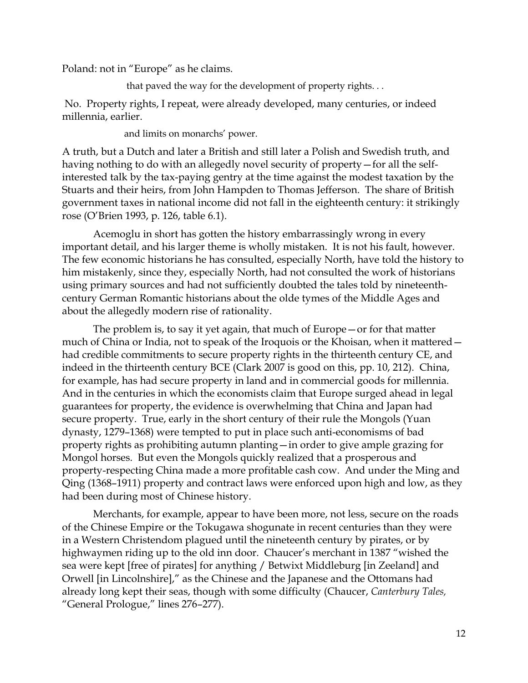Poland: not in "Europe" as he claims.

that paved the way for the development of property rights. . .

No. Property rights, I repeat, were already developed, many centuries, or indeed millennia, earlier.

and limits on monarchs' power.

A truth, but a Dutch and later a British and still later a Polish and Swedish truth, and having nothing to do with an allegedly novel security of property—for all the selfinterested talk by the tax-paying gentry at the time against the modest taxation by the Stuarts and their heirs, from John Hampden to Thomas Jefferson. The share of British government taxes in national income did not fall in the eighteenth century: it strikingly rose (O'Brien 1993, p. 126, table 6.1).

Acemoglu in short has gotten the history embarrassingly wrong in every important detail, and his larger theme is wholly mistaken. It is not his fault, however. The few economic historians he has consulted, especially North, have told the history to him mistakenly, since they, especially North, had not consulted the work of historians using primary sources and had not sufficiently doubted the tales told by nineteenthcentury German Romantic historians about the olde tymes of the Middle Ages and about the allegedly modern rise of rationality.

The problem is, to say it yet again, that much of Europe—or for that matter much of China or India, not to speak of the Iroquois or the Khoisan, when it mattered had credible commitments to secure property rights in the thirteenth century CE, and indeed in the thirteenth century BCE (Clark 2007 is good on this, pp. 10, 212). China, for example, has had secure property in land and in commercial goods for millennia. And in the centuries in which the economists claim that Europe surged ahead in legal guarantees for property, the evidence is overwhelming that China and Japan had secure property. True, early in the short century of their rule the Mongols (Yuan dynasty, 1279–1368) were tempted to put in place such anti-economisms of bad property rights as prohibiting autumn planting—in order to give ample grazing for Mongol horses. But even the Mongols quickly realized that a prosperous and property-respecting China made a more profitable cash cow. And under the Ming and Qing (1368–1911) property and contract laws were enforced upon high and low, as they had been during most of Chinese history.

Merchants, for example, appear to have been more, not less, secure on the roads of the Chinese Empire or the Tokugawa shogunate in recent centuries than they were in a Western Christendom plagued until the nineteenth century by pirates, or by highwaymen riding up to the old inn door. Chaucer's merchant in 1387 "wished the sea were kept [free of pirates] for anything / Betwixt Middleburg [in Zeeland] and Orwell [in Lincolnshire]," as the Chinese and the Japanese and the Ottomans had already long kept their seas, though with some difficulty (Chaucer, *Canterbury Tales,*  "General Prologue," lines 276–277).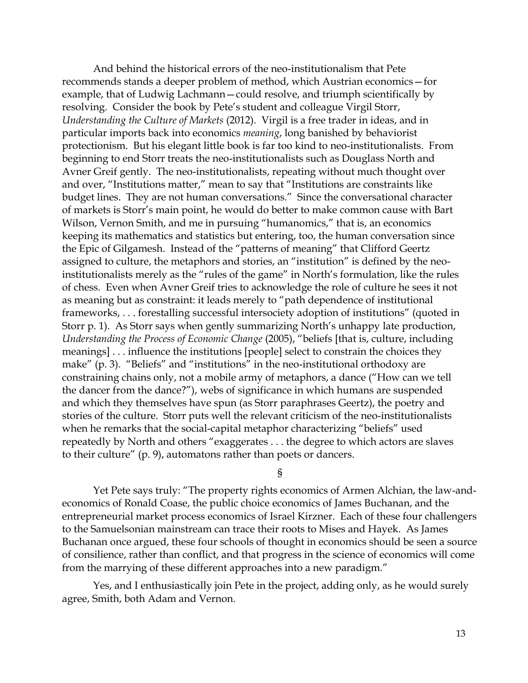And behind the historical errors of the neo-institutionalism that Pete recommends stands a deeper problem of method, which Austrian economics—for example, that of Ludwig Lachmann—could resolve, and triumph scientifically by resolving. Consider the book by Pete's student and colleague Virgil Storr, *Understanding the Culture of Markets* (2012). Virgil is a free trader in ideas, and in particular imports back into economics *meaning*, long banished by behaviorist protectionism. But his elegant little book is far too kind to neo-institutionalists. From beginning to end Storr treats the neo-institutionalists such as Douglass North and Avner Greif gently. The neo-institutionalists, repeating without much thought over and over, "Institutions matter," mean to say that "Institutions are constraints like budget lines. They are not human conversations." Since the conversational character of markets is Storr's main point, he would do better to make common cause with Bart Wilson, Vernon Smith, and me in pursuing "humanomics," that is, an economics keeping its mathematics and statistics but entering, too, the human conversation since the Epic of Gilgamesh. Instead of the "patterns of meaning" that Clifford Geertz assigned to culture, the metaphors and stories, an "institution" is defined by the neoinstitutionalists merely as the "rules of the game" in North's formulation, like the rules of chess. Even when Avner Greif tries to acknowledge the role of culture he sees it not as meaning but as constraint: it leads merely to "path dependence of institutional frameworks, . . . forestalling successful intersociety adoption of institutions" (quoted in Storr p. 1). As Storr says when gently summarizing North's unhappy late production, *Understanding the Process of Economic Change* (2005), "beliefs [that is, culture, including meanings] . . . influence the institutions [people] select to constrain the choices they make" (p. 3). "Beliefs" and "institutions" in the neo-institutional orthodoxy are constraining chains only, not a mobile army of metaphors, a dance ("How can we tell the dancer from the dance?"), webs of significance in which humans are suspended and which they themselves have spun (as Storr paraphrases Geertz), the poetry and stories of the culture. Storr puts well the relevant criticism of the neo-institutionalists when he remarks that the social-capital metaphor characterizing "beliefs" used repeatedly by North and others "exaggerates . . . the degree to which actors are slaves to their culture" (p. 9), automatons rather than poets or dancers.

§

Yet Pete says truly: "The property rights economics of Armen Alchian, the law-andeconomics of Ronald Coase, the public choice economics of James Buchanan, and the entrepreneurial market process economics of Israel Kirzner. Each of these four challengers to the Samuelsonian mainstream can trace their roots to Mises and Hayek. As James Buchanan once argued, these four schools of thought in economics should be seen a source of consilience, rather than conflict, and that progress in the science of economics will come from the marrying of these different approaches into a new paradigm."

Yes, and I enthusiastically join Pete in the project, adding only, as he would surely agree, Smith, both Adam and Vernon.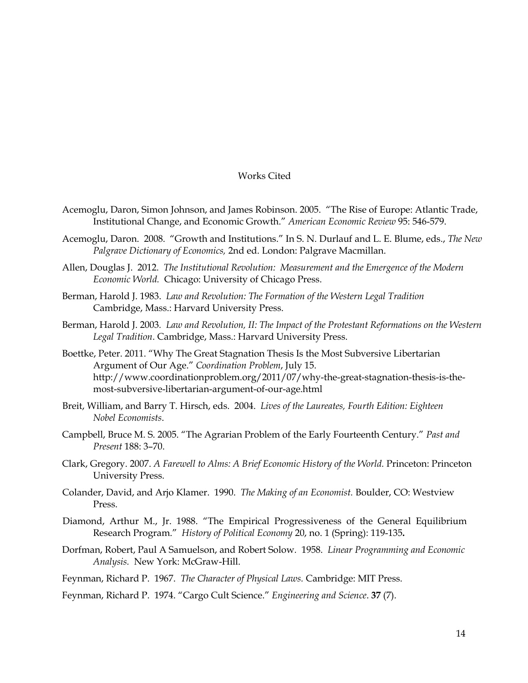## Works Cited

- Acemoglu, Daron, Simon Johnson, and James Robinson. 2005. "The Rise of Europe: Atlantic Trade, Institutional Change, and Economic Growth." *American Economic Review* 95: 546-579.
- Acemoglu, Daron. 2008. "Growth and Institutions." In S. N. Durlauf and L. E. Blume, eds., *The New Palgrave Dictionary of Economics,* 2nd ed. London: Palgrave Macmillan.
- Allen, Douglas J. 2012. *The Institutional Revolution: Measurement and the Emergence of the Modern Economic World.* Chicago: University of Chicago Press.
- Berman, Harold J. 1983. *Law and Revolution: The Formation of the Western Legal Tradition*  Cambridge, Mass.: Harvard University Press.
- Berman, Harold J. 2003*. Law and Revolution, II: The Impact of the Protestant Reformations on the Western Legal Tradition*. Cambridge, Mass.: Harvard University Press.
- Boettke, Peter. 2011. "Why The Great Stagnation Thesis Is the Most Subversive Libertarian Argument of Our Age." *Coordination Problem*, July 15. http://www.coordinationproblem.org/2011/07/why-the-great-stagnation-thesis-is-themost-subversive-libertarian-argument-of-our-age.html
- Breit, William, and Barry T. Hirsch, eds. 2004. *Lives of the Laureates, Fourth Edition: Eighteen Nobel Economists*.
- Campbell, Bruce M. S. 2005. "The Agrarian Problem of the Early Fourteenth Century." *Past and Present* 188: 3–70.
- Clark, Gregory. 2007. *A Farewell to Alms: A Brief Economic History of the World.* Princeton: Princeton University Press.
- Colander, David, and Arjo Klamer. 1990. *The Making of an Economist.* Boulder, CO: Westview Press.
- Diamond, Arthur M., Jr. 1988. "The Empirical Progressiveness of the General Equilibrium Research Program." *History of Political Economy* 20, no. 1 (Spring): 119-135**.**
- Dorfman, Robert, Paul A Samuelson, and Robert Solow*.* 1958. *Linear Programming and Economic Analysis.* New York: McGraw-Hill.

Feynman, Richard P. 1967. *The Character of Physical Laws.* Cambridge: MIT Press.

Feynman, Richard P. 1974. "Cargo Cult Science." *Engineering and Science*. **37** (7).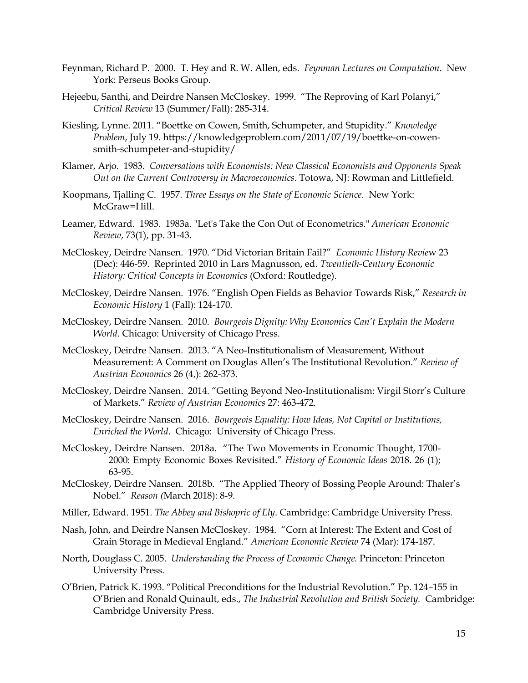- Feynman, Richard P. 2000. T. Hey and R. W. Allen, eds. *Feynman Lectures on Computation*. New York: Perseus Books Group.
- Hejeebu, Santhi, and Deirdre Nansen McCloskey. 1999. "The Reproving of Karl Polanyi," *Critical Review* 13 (Summer/Fall): 285-314.
- Kiesling, Lynne. 2011. "Boettke on Cowen, Smith, Schumpeter, and Stupidity." *Knowledge Problem*, July 19. https://knowledgeproblem.com/2011/07/19/boettke-on-cowensmith-schumpeter-and-stupidity/
- Klamer, Arjo. 1983. *Conversations with Economists: New Classical Economists and Opponents Speak Out on the Current Controversy in Macroeconomics*. Totowa, NJ: Rowman and Littlefield.
- Koopmans, Tjalling C. 1957. *Three Essays on the State of Economic Science*. New York: McGraw=Hill.
- Leamer, Edward. 1983. 1983a. "Let's Take the Con Out of Econometrics." *American Economic Review*, 73(1), pp. 31-43.
- McCloskey, Deirdre Nansen. 1970. "Did Victorian Britain Fail?" *Economic History Revie*w 23 (Dec): 446-59. Reprinted 2010 in Lars Magnusson, ed. *Twentieth-Century Economic History: Critical Concepts in Economics* (Oxford: Routledge).
- McCloskey, Deirdre Nansen. 1976. "English Open Fields as Behavior Towards Risk," *Research in Economic History* 1 (Fall): 124-170.
- McCloskey, Deirdre Nansen. 2010. *Bourgeois Dignity: Why Economics Can't Explain the Modern World*. Chicago: University of Chicago Press.
- McCloskey, Deirdre Nansen. 2013. "A Neo-Institutionalism of Measurement, Without Measurement: A Comment on Douglas Allen's The Institutional Revolution." *Review of Austrian Economics* 26 (4,): 262-373.
- McCloskey, Deirdre Nansen. 2014. "Getting Beyond Neo-Institutionalism: Virgil Storr's Culture of Markets." *Review of Austrian Economics* 27: 463-472.
- McCloskey, Deirdre Nansen. 2016. *Bourgeois Equality: How Ideas, Not Capital or Institutions, Enriched the World*. Chicago: University of Chicago Press.
- McCloskey, Deirdre Nansen. 2018a. "The Two Movements in Economic Thought, 1700- 2000: Empty Economic Boxes Revisited." *History of Economic Ideas* 2018. 26 (1); 63-95.
- McCloskey, Deirdre Nansen. 2018b. "The Applied Theory of Bossing People Around: Thaler's Nobel." *Reason (*March 2018): 8-9.
- Miller, Edward. 1951. *The Abbey and Bishopric of Ely*. Cambridge: Cambridge University Press.
- Nash, John, and Deirdre Nansen McCloskey. 1984. "Corn at Interest: The Extent and Cost of Grain Storage in Medieval England." *American Economic Review* 74 (Mar): 174-187.
- North, Douglass C. 2005. *Understanding the Process of Economic Change.* Princeton: Princeton University Press.
- O'Brien, Patrick K. 1993. "Political Preconditions for the Industrial Revolution." Pp. 124–155 in O'Brien and Ronald Quinault, eds., *The Industrial Revolution and British Society.* Cambridge: Cambridge University Press.